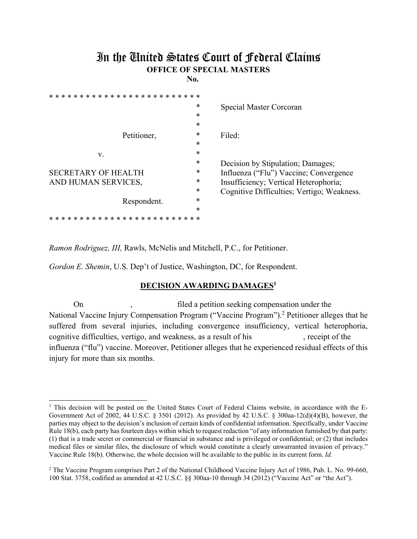## In the United States Court of Federal Claims **OFFICE OF SPECIAL MASTERS**

**No.** 

| * * * * * * * * * * * * * * * |        |                                            |
|-------------------------------|--------|--------------------------------------------|
|                               | $\ast$ | Special Master Corcoran                    |
|                               | $\ast$ |                                            |
|                               | $\ast$ |                                            |
| Petitioner,                   | *      | Filed:                                     |
|                               | $\ast$ |                                            |
| V.                            | $\ast$ |                                            |
|                               | $\ast$ | Decision by Stipulation; Damages;          |
| <b>SECRETARY OF HEALTH</b>    | $\ast$ | Influenza ("Flu") Vaccine; Convergence     |
| AND HUMAN SERVICES,           | $\ast$ | Insufficiency; Vertical Heterophoria;      |
|                               | $\ast$ | Cognitive Difficulties; Vertigo; Weakness. |
| Respondent.                   | $\ast$ |                                            |
|                               | $\ast$ |                                            |
| ×<br>* * *                    | * *    |                                            |

*Ramon Rodriguez, III,* Rawls, McNelis and Mitchell, P.C., for Petitioner.

*Gordon E. Shemin*, U.S. Dep't of Justice, Washington, DC, for Respondent.

## **DECISION AWARDING DAMAGES1**

On , filed a petition seeking compensation under the National Vaccine Injury Compensation Program ("Vaccine Program").<sup>2</sup> Petitioner alleges that he suffered from several injuries, including convergence insufficiency, vertical heterophoria, cognitive difficulties, vertigo, and weakness, as a result of his , receipt of the influenza ("flu") vaccine. Moreover, Petitioner alleges that he experienced residual effects of this injury for more than six months.

<sup>|&</sup>lt;br>|<br>| <sup>1</sup> This decision will be posted on the United States Court of Federal Claims website, in accordance with the E-Government Act of 2002, 44 U.S.C. § 3501 (2012). As provided by 42 U.S.C. § 300aa-12(d)(4)(B), however, the parties may object to the decision's inclusion of certain kinds of confidential information. Specifically, under Vaccine Rule 18(b), each party has fourteen days within which to request redaction "of any information furnished by that party: (1) that is a trade secret or commercial or financial in substance and is privileged or confidential; or (2) that includes medical files or similar files, the disclosure of which would constitute a clearly unwarranted invasion of privacy." Vaccine Rule 18(b). Otherwise, the whole decision will be available to the public in its current form. *Id.* 

<sup>&</sup>lt;sup>2</sup> The Vaccine Program comprises Part 2 of the National Childhood Vaccine Injury Act of 1986, Pub. L. No. 99-660, 100 Stat. 3758, codified as amended at 42 U.S.C. §§ 300aa-10 through 34 (2012) ("Vaccine Act" or "the Act").